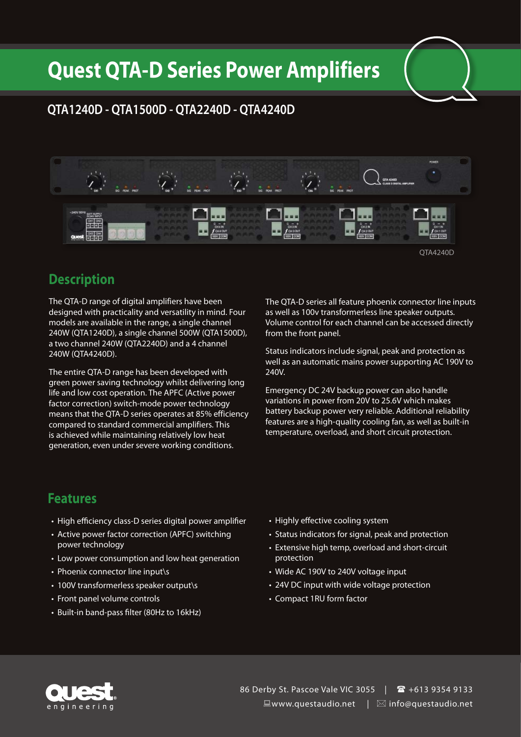## **Quest QTA-D Series Power Amplifiers**

#### **QTA1240D - QTA1500D - QTA2240D - QTA4240D**



QTA4240D

#### **Description**

The QTA-D range of digital amplifiers have been designed with practicality and versatility in mind. Four models are available in the range, a single channel 240W (QTA1240D), a single channel 500W (QTA1500D), a two channel 240W (QTA2240D) and a 4 channel 240W (QTA4240D).

The entire QTA-D range has been developed with green power saving technology whilst delivering long life and low cost operation. The APFC (Active power factor correction) switch-mode power technology means that the QTA-D series operates at 85% efficiency compared to standard commercial amplifiers. This is achieved while maintaining relatively low heat generation, even under severe working conditions.

The QTA-D series all feature phoenix connector line inputs as well as 100v transformerless line speaker outputs. Volume control for each channel can be accessed directly from the front panel.

Status indicators include signal, peak and protection as well as an automatic mains power supporting AC 190V to 240V.

Emergency DC 24V backup power can also handle variations in power from 20V to 25.6V which makes battery backup power very reliable. Additional reliability features are a high-quality cooling fan, as well as built-in temperature, overload, and short circuit protection.

#### **Features**

- High efficiency class-D series digital power amplifier
- Active power factor correction (APFC) switching power technology
- Low power consumption and low heat generation
- Phoenix connector line input\s
- 100V transformerless speaker output\s
- Front panel volume controls
- • Built-in band-pass filter (80Hz to 16kHz)
- Highly effective cooling system
- Status indicators for signal, peak and protection
- Extensive high temp, overload and short-circuit protection
- Wide AC 190V to 240V voltage input
- 24V DC input with wide voltage protection
- • Compact 1RU form factor



86 Derby St. Pascoe Vale VIC 3055 |  $\text{ }$  +613 9354 9133  $\Box$ www.questaudio.net |  $\boxtimes$  info@questaudio.net